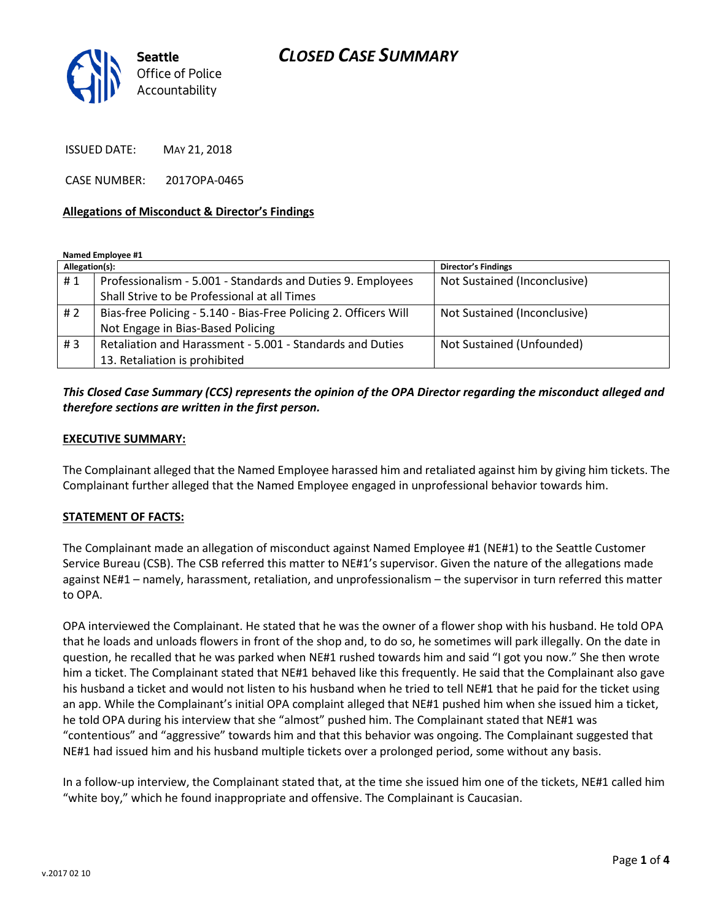

ISSUED DATE: MAY 21, 2018

CASE NUMBER: 2017OPA-0465

#### **Allegations of Misconduct & Director's Findings**

**Named Employee #1**

| Allegation(s): |                                                                  | <b>Director's Findings</b>   |
|----------------|------------------------------------------------------------------|------------------------------|
| #1             | Professionalism - 5.001 - Standards and Duties 9. Employees      | Not Sustained (Inconclusive) |
|                | Shall Strive to be Professional at all Times                     |                              |
| #2             | Bias-free Policing - 5.140 - Bias-Free Policing 2. Officers Will | Not Sustained (Inconclusive) |
|                | Not Engage in Bias-Based Policing                                |                              |
| #3             | Retaliation and Harassment - 5.001 - Standards and Duties        | Not Sustained (Unfounded)    |
|                | 13. Retaliation is prohibited                                    |                              |

# *This Closed Case Summary (CCS) represents the opinion of the OPA Director regarding the misconduct alleged and therefore sections are written in the first person.*

#### **EXECUTIVE SUMMARY:**

The Complainant alleged that the Named Employee harassed him and retaliated against him by giving him tickets. The Complainant further alleged that the Named Employee engaged in unprofessional behavior towards him.

## **STATEMENT OF FACTS:**

The Complainant made an allegation of misconduct against Named Employee #1 (NE#1) to the Seattle Customer Service Bureau (CSB). The CSB referred this matter to NE#1's supervisor. Given the nature of the allegations made against NE#1 – namely, harassment, retaliation, and unprofessionalism – the supervisor in turn referred this matter to OPA.

OPA interviewed the Complainant. He stated that he was the owner of a flower shop with his husband. He told OPA that he loads and unloads flowers in front of the shop and, to do so, he sometimes will park illegally. On the date in question, he recalled that he was parked when NE#1 rushed towards him and said "I got you now." She then wrote him a ticket. The Complainant stated that NE#1 behaved like this frequently. He said that the Complainant also gave his husband a ticket and would not listen to his husband when he tried to tell NE#1 that he paid for the ticket using an app. While the Complainant's initial OPA complaint alleged that NE#1 pushed him when she issued him a ticket, he told OPA during his interview that she "almost" pushed him. The Complainant stated that NE#1 was "contentious" and "aggressive" towards him and that this behavior was ongoing. The Complainant suggested that NE#1 had issued him and his husband multiple tickets over a prolonged period, some without any basis.

In a follow-up interview, the Complainant stated that, at the time she issued him one of the tickets, NE#1 called him "white boy," which he found inappropriate and offensive. The Complainant is Caucasian.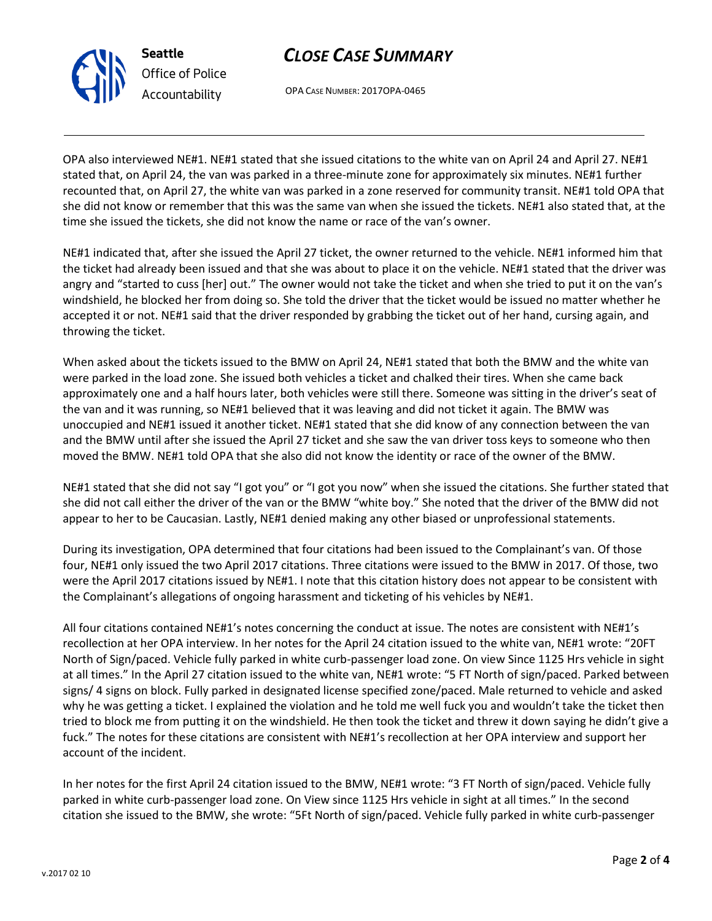v.2017 02 10

# *CLOSE CASE SUMMARY*

OPA CASE NUMBER: 2017OPA-0465

OPA also interviewed NE#1. NE#1 stated that she issued citations to the white van on April 24 and April 27. NE#1 stated that, on April 24, the van was parked in a three-minute zone for approximately six minutes. NE#1 further recounted that, on April 27, the white van was parked in a zone reserved for community transit. NE#1 told OPA that she did not know or remember that this was the same van when she issued the tickets. NE#1 also stated that, at the time she issued the tickets, she did not know the name or race of the van's owner.

NE#1 indicated that, after she issued the April 27 ticket, the owner returned to the vehicle. NE#1 informed him that the ticket had already been issued and that she was about to place it on the vehicle. NE#1 stated that the driver was angry and "started to cuss [her] out." The owner would not take the ticket and when she tried to put it on the van's windshield, he blocked her from doing so. She told the driver that the ticket would be issued no matter whether he accepted it or not. NE#1 said that the driver responded by grabbing the ticket out of her hand, cursing again, and throwing the ticket.

When asked about the tickets issued to the BMW on April 24, NE#1 stated that both the BMW and the white van were parked in the load zone. She issued both vehicles a ticket and chalked their tires. When she came back approximately one and a half hours later, both vehicles were still there. Someone was sitting in the driver's seat of the van and it was running, so NE#1 believed that it was leaving and did not ticket it again. The BMW was unoccupied and NE#1 issued it another ticket. NE#1 stated that she did know of any connection between the van and the BMW until after she issued the April 27 ticket and she saw the van driver toss keys to someone who then moved the BMW. NE#1 told OPA that she also did not know the identity or race of the owner of the BMW.

NE#1 stated that she did not say "I got you" or "I got you now" when she issued the citations. She further stated that she did not call either the driver of the van or the BMW "white boy." She noted that the driver of the BMW did not appear to her to be Caucasian. Lastly, NE#1 denied making any other biased or unprofessional statements.

During its investigation, OPA determined that four citations had been issued to the Complainant's van. Of those four, NE#1 only issued the two April 2017 citations. Three citations were issued to the BMW in 2017. Of those, two were the April 2017 citations issued by NE#1. I note that this citation history does not appear to be consistent with the Complainant's allegations of ongoing harassment and ticketing of his vehicles by NE#1.

All four citations contained NE#1's notes concerning the conduct at issue. The notes are consistent with NE#1's recollection at her OPA interview. In her notes for the April 24 citation issued to the white van, NE#1 wrote: "20FT North of Sign/paced. Vehicle fully parked in white curb-passenger load zone. On view Since 1125 Hrs vehicle in sight at all times." In the April 27 citation issued to the white van, NE#1 wrote: "5 FT North of sign/paced. Parked between signs/ 4 signs on block. Fully parked in designated license specified zone/paced. Male returned to vehicle and asked why he was getting a ticket. I explained the violation and he told me well fuck you and wouldn't take the ticket then tried to block me from putting it on the windshield. He then took the ticket and threw it down saying he didn't give a fuck." The notes for these citations are consistent with NE#1's recollection at her OPA interview and support her account of the incident.

In her notes for the first April 24 citation issued to the BMW, NE#1 wrote: "3 FT North of sign/paced. Vehicle fully parked in white curb-passenger load zone. On View since 1125 Hrs vehicle in sight at all times." In the second citation she issued to the BMW, she wrote: "5Ft North of sign/paced. Vehicle fully parked in white curb-passenger



**Seattle** *Office of Police Accountability*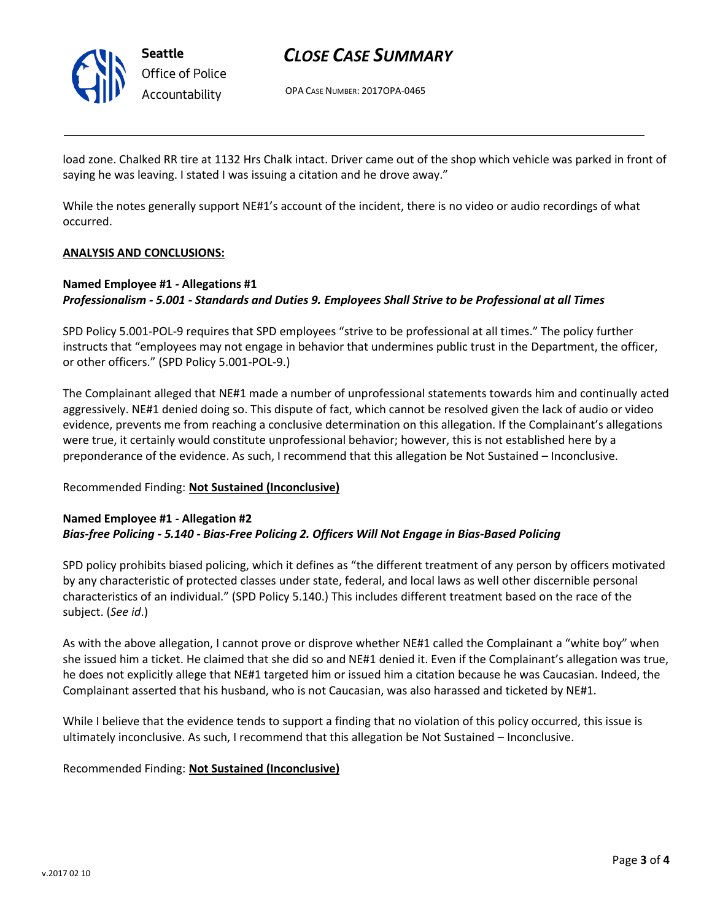

# *CLOSE CASE SUMMARY*

OPA CASE NUMBER: 2017OPA-0465

load zone. Chalked RR tire at 1132 Hrs Chalk intact. Driver came out of the shop which vehicle was parked in front of saying he was leaving. I stated I was issuing a citation and he drove away."

While the notes generally support NE#1's account of the incident, there is no video or audio recordings of what occurred.

## **ANALYSIS AND CONCLUSIONS:**

## **Named Employee #1 - Allegations #1** *Professionalism - 5.001 - Standards and Duties 9. Employees Shall Strive to be Professional at all Times*

SPD Policy 5.001-POL-9 requires that SPD employees "strive to be professional at all times." The policy further instructs that "employees may not engage in behavior that undermines public trust in the Department, the officer, or other officers." (SPD Policy 5.001-POL-9.)

The Complainant alleged that NE#1 made a number of unprofessional statements towards him and continually acted aggressively. NE#1 denied doing so. This dispute of fact, which cannot be resolved given the lack of audio or video evidence, prevents me from reaching a conclusive determination on this allegation. If the Complainant's allegations were true, it certainly would constitute unprofessional behavior; however, this is not established here by a preponderance of the evidence. As such, I recommend that this allegation be Not Sustained – Inconclusive.

## Recommended Finding: **Not Sustained (Inconclusive)**

## **Named Employee #1 - Allegation #2** *Bias-free Policing - 5.140 - Bias-Free Policing 2. Officers Will Not Engage in Bias-Based Policing*

SPD policy prohibits biased policing, which it defines as "the different treatment of any person by officers motivated by any characteristic of protected classes under state, federal, and local laws as well other discernible personal characteristics of an individual." (SPD Policy 5.140.) This includes different treatment based on the race of the subject. (*See id*.)

As with the above allegation, I cannot prove or disprove whether NE#1 called the Complainant a "white boy" when she issued him a ticket. He claimed that she did so and NE#1 denied it. Even if the Complainant's allegation was true, he does not explicitly allege that NE#1 targeted him or issued him a citation because he was Caucasian. Indeed, the Complainant asserted that his husband, who is not Caucasian, was also harassed and ticketed by NE#1.

While I believe that the evidence tends to support a finding that no violation of this policy occurred, this issue is ultimately inconclusive. As such, I recommend that this allegation be Not Sustained – Inconclusive.

## Recommended Finding: **Not Sustained (Inconclusive)**